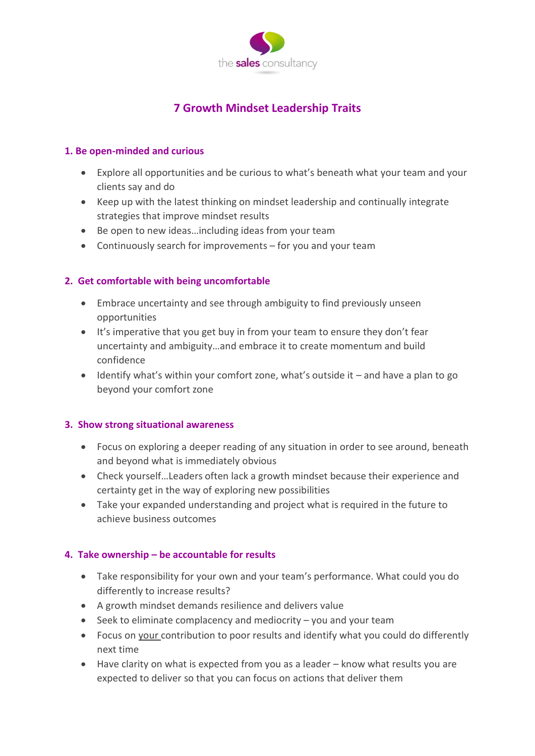

# **7 Growth Mindset Leadership Traits**

#### **1. Be open-minded and curious**

- Explore all opportunities and be curious to what's beneath what your team and your clients say and do
- Keep up with the latest thinking on mindset leadership and continually integrate strategies that improve mindset results
- Be open to new ideas…including ideas from your team
- Continuously search for improvements for you and your team

## **2. Get comfortable with being uncomfortable**

- Embrace uncertainty and see through ambiguity to find previously unseen opportunities
- It's imperative that you get buy in from your team to ensure they don't fear uncertainty and ambiguity…and embrace it to create momentum and build confidence
- Identify what's within your comfort zone, what's outside it and have a plan to go beyond your comfort zone

#### **3. Show strong situational awareness**

- Focus on exploring a deeper reading of any situation in order to see around, beneath and beyond what is immediately obvious
- Check yourself…Leaders often lack a growth mindset because their experience and certainty get in the way of exploring new possibilities
- Take your expanded understanding and project what is required in the future to achieve business outcomes

#### **4. Take ownership – be accountable for results**

- Take responsibility for your own and your team's performance. What could you do differently to increase results?
- A growth mindset demands resilience and delivers value
- Seek to eliminate complacency and mediocrity you and your team
- Focus on your contribution to poor results and identify what you could do differently next time
- Have clarity on what is expected from you as a leader know what results you are expected to deliver so that you can focus on actions that deliver them